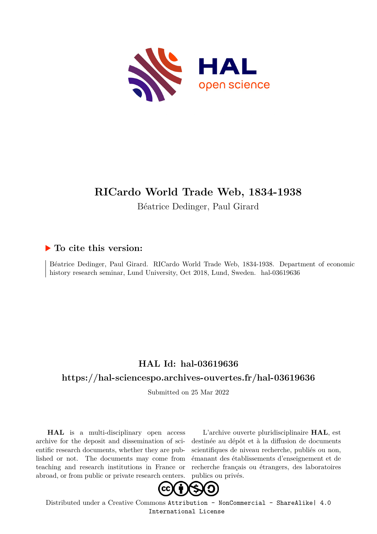

# **RICardo World Trade Web, 1834-1938**

Béatrice Dedinger, Paul Girard

## **To cite this version:**

Béatrice Dedinger, Paul Girard. RICardo World Trade Web, 1834-1938. Department of economic history research seminar, Lund University, Oct 2018, Lund, Sweden. hal-03619636

# **HAL Id: hal-03619636**

## **<https://hal-sciencespo.archives-ouvertes.fr/hal-03619636>**

Submitted on 25 Mar 2022

**HAL** is a multi-disciplinary open access archive for the deposit and dissemination of scientific research documents, whether they are published or not. The documents may come from teaching and research institutions in France or abroad, or from public or private research centers.

L'archive ouverte pluridisciplinaire **HAL**, est destinée au dépôt et à la diffusion de documents scientifiques de niveau recherche, publiés ou non, émanant des établissements d'enseignement et de recherche français ou étrangers, des laboratoires publics ou privés.



Distributed under a Creative Commons [Attribution - NonCommercial - ShareAlike| 4.0](http://creativecommons.org/licenses/by-nc-sa/4.0/) [International License](http://creativecommons.org/licenses/by-nc-sa/4.0/)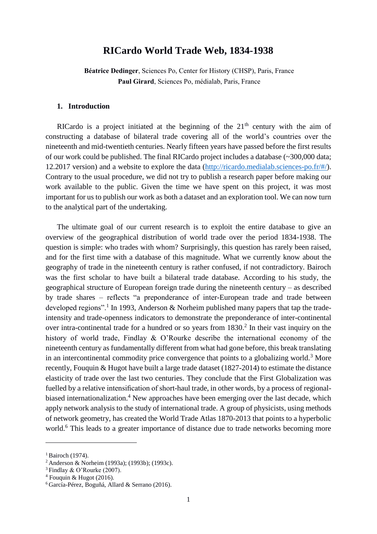### **RICardo World Trade Web, 1834-1938**

**Béatrice Dedinger**, Sciences Po, Center for History (CHSP), Paris, France **Paul Girard**, Sciences Po, médialab, Paris, France

#### **1. Introduction**

RICardo is a project initiated at the beginning of the  $21<sup>th</sup>$  century with the aim of constructing a database of bilateral trade covering all of the world's countries over the nineteenth and mid-twentieth centuries. Nearly fifteen years have passed before the first results of our work could be published. The final RICardo project includes a database (~300,000 data; 12.2017 version) and a website to explore the data [\(http://ricardo.medialab.sciences-po.fr/#/\)](http://ricardo.medialab.sciences-po.fr/#/). Contrary to the usual procedure, we did not try to publish a research paper before making our work available to the public. Given the time we have spent on this project, it was most important for us to publish our work as both a dataset and an exploration tool. We can now turn to the analytical part of the undertaking.

The ultimate goal of our current research is to exploit the entire database to give an overview of the geographical distribution of world trade over the period 1834-1938. The question is simple: who trades with whom? Surprisingly, this question has rarely been raised, and for the first time with a database of this magnitude. What we currently know about the geography of trade in the nineteenth century is rather confused, if not contradictory. Bairoch was the first scholar to have built a bilateral trade database. According to his study, the geographical structure of European foreign trade during the nineteenth century – as described by trade shares – reflects "a preponderance of inter-European trade and trade between developed regions".<sup>1</sup> In 1993, Anderson & Norheim published many papers that tap the tradeintensity and trade-openness indicators to demonstrate the preponderance of inter-continental over intra-continental trade for a hundred or so years from  $1830<sup>2</sup>$  In their vast inquiry on the history of world trade, Findlay & O'Rourke describe the international economy of the nineteenth century as fundamentally different from what had gone before, this break translating in an intercontinental commodity price convergence that points to a globalizing world.<sup>3</sup> More recently, Fouquin & Hugot have built a large trade dataset (1827-2014) to estimate the distance elasticity of trade over the last two centuries. They conclude that the First Globalization was fuelled by a relative intensification of short-haul trade, in other words, by a process of regionalbiased internationalization.<sup>4</sup> New approaches have been emerging over the last decade, which apply network analysis to the study of international trade. A group of physicists, using methods of network geometry, has created the World Trade Atlas 1870-2013 that points to a hyperbolic world.<sup>6</sup> This leads to a greater importance of distance due to trade networks becoming more

 $<sup>1</sup>$  Bairoch (1974).</sup>

<sup>2</sup> Anderson & Norheim (1993a); (1993b); (1993c).

<sup>3</sup> Findlay & O'Rourke (2007).

 $4$  Fouquin & Hugot (2016).

<sup>6</sup> García-Pérez, Boguñá, Allard & Serrano (2016).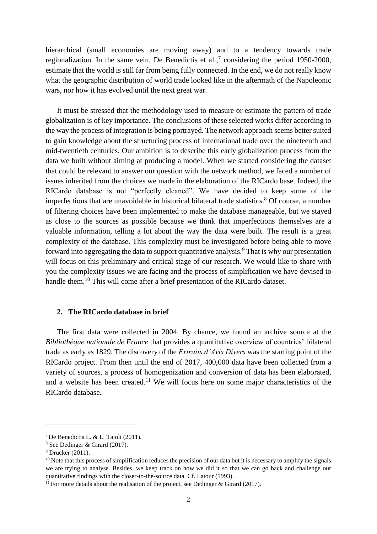hierarchical (small economies are moving away) and to a tendency towards trade regionalization. In the same vein, De Benedictis et al.,<sup>7</sup> considering the period 1950-2000, estimate that the world is still far from being fully connected. In the end, we do not really know what the geographic distribution of world trade looked like in the aftermath of the Napoleonic wars, nor how it has evolved until the next great war.

It must be stressed that the methodology used to measure or estimate the pattern of trade globalization is of key importance. The conclusions of these selected works differ according to the way the process of integration is being portrayed. The network approach seems better suited to gain knowledge about the structuring process of international trade over the nineteenth and mid-twentieth centuries. Our ambition is to describe this early globalization process from the data we built without aiming at producing a model. When we started considering the dataset that could be relevant to answer our question with the network method, we faced a number of issues inherited from the choices we made in the elaboration of the RICardo base. Indeed, the RICardo database is not "perfectly cleaned". We have decided to keep some of the imperfections that are unavoidable in historical bilateral trade statistics. <sup>8</sup> Of course, a number of filtering choices have been implemented to make the database manageable, but we stayed as close to the sources as possible because we think that imperfections themselves are a valuable information, telling a lot about the way the data were built. The result is a great complexity of the database. This complexity must be investigated before being able to move forward into aggregating the data to support quantitative analysis.<sup>9</sup> That is why our presentation will focus on this preliminary and critical stage of our research. We would like to share with you the complexity issues we are facing and the process of simplification we have devised to handle them.<sup>10</sup> This will come after a brief presentation of the RICardo dataset.

#### **2. The RICardo database in brief**

The first data were collected in 2004. By chance, we found an archive source at the *Bibliothèque nationale de France* that provides a quantitative overview of countries' bilateral trade as early as 1829. The discovery of the *Extraits d'Avis Divers* was the starting point of the RICardo project. From then until the end of 2017, 400,000 data have been collected from a variety of sources, a process of homogenization and conversion of data has been elaborated, and a website has been created.<sup>11</sup> We will focus here on some major characteristics of the RICardo database.

<sup>7</sup> De Benedictis L. & L. Tajoli (2011).

<sup>8</sup> See Dedinger & Girard (2017).

 $9$  Drucker (2011).

 $10$  Note that this process of simplification reduces the precision of our data but it is necessary to amplify the signals we are trying to analyse. Besides, we keep track on how we did it so that we can go back and challenge our quantitative findings with the closer-to-the-source data. Cf. Latour (1993).

 $11$  For more details about the realisation of the project, see Dedinger & Girard (2017).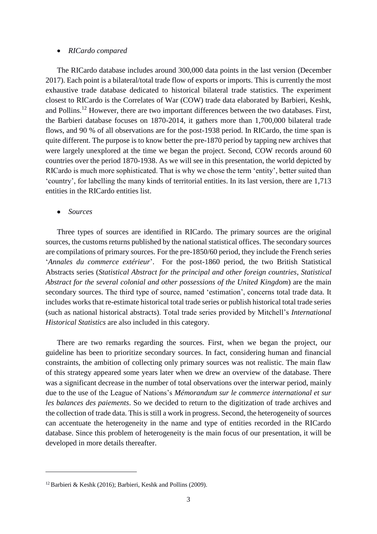#### *RICardo compared*

The RICardo database includes around 300,000 data points in the last version (December 2017). Each point is a bilateral/total trade flow of exports or imports. This is currently the most exhaustive trade database dedicated to historical bilateral trade statistics. The experiment closest to RICardo is the Correlates of War (COW) trade data elaborated by Barbieri, Keshk, and Pollins.<sup>12</sup> However, there are two important differences between the two databases. First, the Barbieri database focuses on 1870-2014, it gathers more than 1,700,000 bilateral trade flows, and 90 % of all observations are for the post-1938 period. In RICardo, the time span is quite different. The purpose is to know better the pre-1870 period by tapping new archives that were largely unexplored at the time we began the project. Second, COW records around 60 countries over the period 1870-1938. As we will see in this presentation, the world depicted by RICardo is much more sophisticated. That is why we chose the term 'entity', better suited than 'country', for labelling the many kinds of territorial entities. In its last version, there are 1,713 entities in the RICardo entities list.

#### *Sources*

1

Three types of sources are identified in RICardo. The primary sources are the original sources, the customs returns published by the national statistical offices. The secondary sources are compilations of primary sources. For the pre-1850/60 period, they include the French series '*Annales du commerce extérieur*'. For the post-1860 period, the two British Statistical Abstracts series (*Statistical Abstract for the principal and other foreign countries*, *Statistical Abstract for the several colonial and other possessions of the United Kingdom*) are the main secondary sources. The third type of source, named 'estimation', concerns total trade data. It includes works that re-estimate historical total trade series or publish historical total trade series (such as national historical abstracts). Total trade series provided by Mitchell's *International Historical Statistics* are also included in this category.

There are two remarks regarding the sources. First, when we began the project, our guideline has been to prioritize secondary sources. In fact, considering human and financial constraints, the ambition of collecting only primary sources was not realistic. The main flaw of this strategy appeared some years later when we drew an overview of the database. There was a significant decrease in the number of total observations over the interwar period, mainly due to the use of the League of Nations's *Mémorandum sur le commerce international et sur les balances des paiements*. So we decided to return to the digitization of trade archives and the collection of trade data. This is still a work in progress. Second, the heterogeneity of sources can accentuate the heterogeneity in the name and type of entities recorded in the RICardo database. Since this problem of heterogeneity is the main focus of our presentation, it will be developed in more details thereafter.

<sup>&</sup>lt;sup>12</sup> Barbieri & Keshk (2016); Barbieri, Keshk and Pollins (2009).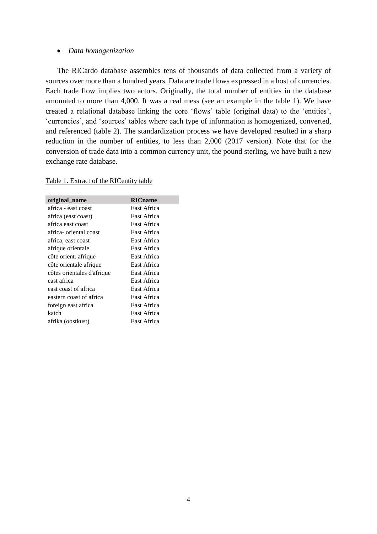#### *Data homogenization*

The RICardo database assembles tens of thousands of data collected from a variety of sources over more than a hundred years. Data are trade flows expressed in a host of currencies. Each trade flow implies two actors. Originally, the total number of entities in the database amounted to more than 4,000. It was a real mess (see an example in the table 1). We have created a relational database linking the core 'flows' table (original data) to the 'entities', 'currencies', and 'sources' tables where each type of information is homogenized, converted, and referenced (table 2). The standardization process we have developed resulted in a sharp reduction in the number of entities, to less than 2,000 (2017 version). Note that for the conversion of trade data into a common currency unit, the pound sterling, we have built a new exchange rate database.

| original_name              | <b>RICname</b> |
|----------------------------|----------------|
| africa - east coast        | East Africa    |
| africa (east coast)        | East Africa    |
| africa east coast          | East Africa    |
| africa- oriental coast     | East Africa    |
| africa, east coast         | East Africa    |
| afrique orientale          | East Africa    |
| côte orient. afrique       | East Africa    |
| côte orientale afrique     | East Africa    |
| côtes orientales d'afrique | East Africa    |
| east africa                | East Africa    |
| east coast of africa       | East Africa    |
| eastern coast of africa    | East Africa    |
| foreign east africa        | East Africa    |
| katch                      | East Africa    |
| afrika (oostkust)          | East Africa    |

#### Table 1. Extract of the RICentity table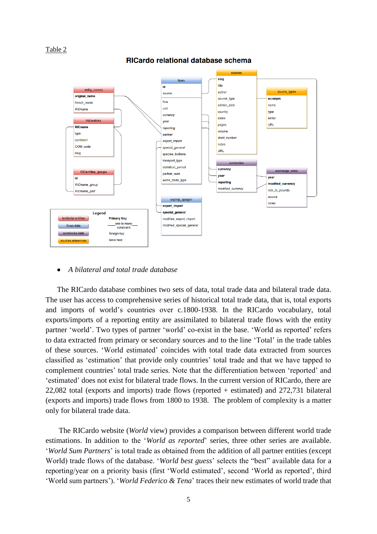#### Table 2

RICardo relational database schema



#### *A bilateral and total trade database*

The RICardo database combines two sets of data, total trade data and bilateral trade data. The user has access to comprehensive series of historical total trade data, that is, total exports and imports of world's countries over c.1800-1938. In the RICardo vocabulary, total exports/imports of a reporting entity are assimilated to bilateral trade flows with the entity partner 'world'. Two types of partner 'world' co-exist in the base. 'World as reported' refers to data extracted from primary or secondary sources and to the line 'Total' in the trade tables of these sources. 'World estimated' coincides with total trade data extracted from sources classified as 'estimation' that provide only countries' total trade and that we have tapped to complement countries' total trade series. Note that the differentiation between 'reported' and 'estimated' does not exist for bilateral trade flows. In the current version of RICardo, there are 22,082 total (exports and imports) trade flows (reported + estimated) and 272,731 bilateral (exports and imports) trade flows from 1800 to 1938. The problem of complexity is a matter only for bilateral trade data.

The RICardo website (*World* view) provides a comparison between different world trade estimations. In addition to the '*World as reported*' series, three other series are available. '*World Sum Partners*' is total trade as obtained from the addition of all partner entities (except World) trade flows of the database. '*World best guess*' selects the "best" available data for a reporting/year on a priority basis (first 'World estimated', second 'World as reported', third 'World sum partners'). '*World Federico & Tena*' traces their new estimates of world trade that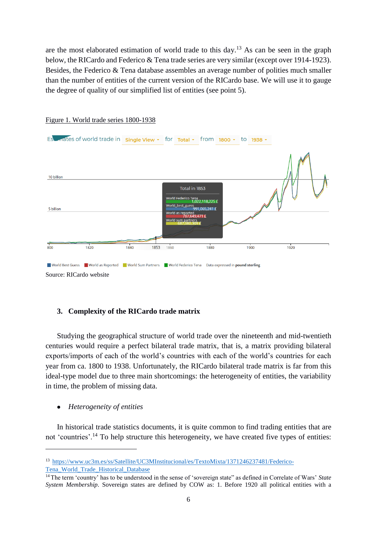are the most elaborated estimation of world trade to this day.<sup>13</sup> As can be seen in the graph below, the RICardo and Federico & Tena trade series are very similar (except over 1914-1923). Besides, the Federico & Tena database assembles an average number of polities much smaller than the number of entities of the current version of the RICardo base. We will use it to gauge the degree of quality of our simplified list of entities (see point 5).



#### Figure 1. World trade series 1800-1938

#### **3. Complexity of the RICardo trade matrix**

Studying the geographical structure of world trade over the nineteenth and mid-twentieth centuries would require a perfect bilateral trade matrix, that is, a matrix providing bilateral exports/imports of each of the world's countries with each of the world's countries for each year from ca. 1800 to 1938. Unfortunately, the RICardo bilateral trade matrix is far from this ideal-type model due to three main shortcomings: the heterogeneity of entities, the variability in time, the problem of missing data.

#### *Heterogeneity of entities*

1

In historical trade statistics documents, it is quite common to find trading entities that are not 'countries'.<sup>14</sup> To help structure this heterogeneity, we have created five types of entities:

<sup>13</sup> [https://www.uc3m.es/ss/Satellite/UC3MInstitucional/es/TextoMixta/1371246237481/Federico-](https://www.uc3m.es/ss/Satellite/UC3MInstitucional/es/TextoMixta/1371246237481/Federico-Tena_World_Trade_Historical_Database)[Tena\\_World\\_Trade\\_Historical\\_Database](https://www.uc3m.es/ss/Satellite/UC3MInstitucional/es/TextoMixta/1371246237481/Federico-Tena_World_Trade_Historical_Database)

<sup>14</sup> The term 'country' has to be understood in the sense of 'sovereign state" as defined in Correlate of Wars' *State System Membership*. Sovereign states are defined by COW as: 1. Before 1920 all political entities with a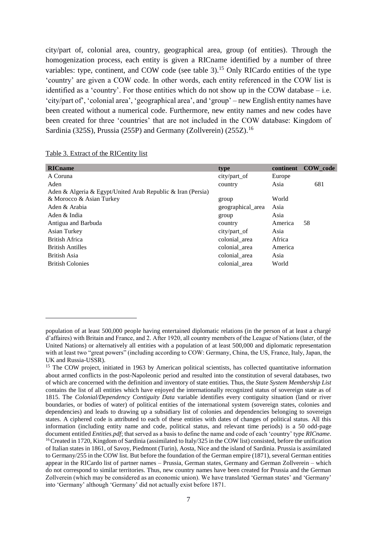city/part of, colonial area, country, geographical area, group (of entities). Through the homogenization process, each entity is given a RICname identified by a number of three variables: type, continent, and COW code (see table 3).<sup>15</sup> Only RICardo entities of the type 'country' are given a COW code. In other words, each entity referenced in the COW list is identified as a 'country'. For those entities which do not show up in the COW database – i.e. 'city/part of', 'colonial area', 'geographical area', and 'group' – new English entity names have been created without a numerical code. Furthermore, new entity names and new codes have been created for three 'countries' that are not included in the COW database: Kingdom of Sardinia (325S), Prussia (255P) and Germany (Zollverein) (255Z).<sup>16</sup>

| Table 3. Extract of the RICentity list |  |  |  |  |  |
|----------------------------------------|--|--|--|--|--|
|                                        |  |  |  |  |  |

1

| <b>RIC</b> name                                             | type              | continent | COW code |
|-------------------------------------------------------------|-------------------|-----------|----------|
| A Coruna                                                    | city/part_of      | Europe    |          |
| Aden                                                        | country           | Asia      | 681      |
| Aden & Algeria & Egypt/United Arab Republic & Iran (Persia) |                   |           |          |
| & Morocco & Asian Turkey                                    | group             | World     |          |
| Aden & Arabia                                               | geographical_area | Asia      |          |
| Aden & India                                                | group             | Asia      |          |
| Antigua and Barbuda                                         | country           | America   | 58       |
| Asian Turkey                                                | city/part of      | Asia      |          |
| <b>British Africa</b>                                       | colonial area     | Africa    |          |
| <b>British Antilles</b>                                     | colonial area     | America   |          |
| British Asia                                                | colonial area     | Asia      |          |
| <b>British Colonies</b>                                     | colonial_area     | World     |          |
|                                                             |                   |           |          |

population of at least 500,000 people having entertained diplomatic relations (in the person of at least a chargé d'affaires) with Britain and France, and 2. After 1920, all country members of the League of Nations (later, of the United Nations) or alternatively all entities with a population of at least 500,000 and diplomatic representation with at least two "great powers" (including according to COW: Germany, China, the US, France, Italy, Japan, the UK and Russia-USSR).

<sup>&</sup>lt;sup>15</sup> The COW project, initiated in 1963 by American political scientists, has collected quantitative information about armed conflicts in the post-Napoleonic period and resulted into the constitution of several databases, two of which are concerned with the definition and inventory of state entities. Thus, the *State System Membership List* contains the list of all entities which have enjoyed the internationally recognized status of sovereign state as of 1815. The *Colonial/Dependency Contiguity Data* variable identifies every contiguity situation (land or river boundaries, or bodies of water) of political entities of the international system (sovereign states, colonies and dependencies) and leads to drawing up a subsidiary list of colonies and dependencies belonging to sovereign states. A ciphered code is attributed to each of these entities with dates of changes of political status. All this information (including entity name and code, political status, and relevant time periods) is a 50 odd-page document entitled *Entities.pdf*; that served as a basis to define the name and code of each 'country' type *RICname*. <sup>16</sup> Created in 1720, Kingdom of Sardinia (assimilated to Italy/325 in the COW list) consisted, before the unification of Italian states in 1861, of Savoy, Piedmont (Turin), Aosta, Nice and the island of Sardinia. Prussia is assimilated to Germany/255 in the COW list. But before the foundation of the German empire (1871), several German entities appear in the RICardo list of partner names – Prussia, German states, Germany and German Zollverein – which do not correspond to similar territories. Thus, new country names have been created for Prussia and the German Zollverein (which may be considered as an economic union). We have translated 'German states' and 'Germany' into 'Germany' although 'Germany' did not actually exist before 1871.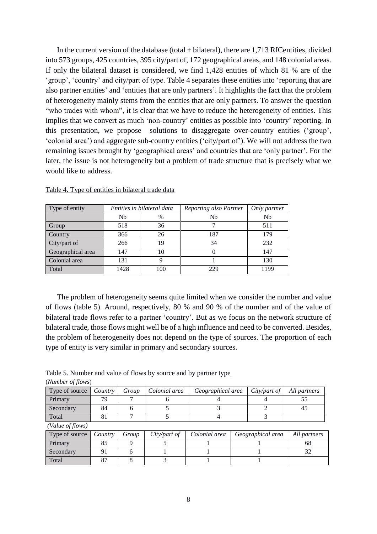In the current version of the database (total + bilateral), there are 1,713 RICentities, divided into 573 groups, 425 countries, 395 city/part of, 172 geographical areas, and 148 colonial areas. If only the bilateral dataset is considered, we find 1,428 entities of which 81 % are of the 'group', 'country' and city/part of type. Table 4 separates these entities into 'reporting that are also partner entities' and 'entities that are only partners'. It highlights the fact that the problem of heterogeneity mainly stems from the entities that are only partners. To answer the question "who trades with whom", it is clear that we have to reduce the heterogeneity of entities. This implies that we convert as much 'non-country' entities as possible into 'country' reporting. In this presentation, we propose solutions to disaggregate over-country entities ('group', 'colonial area') and aggregate sub-country entities ('city/part of'). We will not address the two remaining issues brought by 'geographical areas' and countries that are 'only partner'. For the later, the issue is not heterogeneity but a problem of trade structure that is precisely what we would like to address.

| Type of entity    | Entities in bilateral data |      | Reporting also Partner | Only partner |
|-------------------|----------------------------|------|------------------------|--------------|
|                   | Nb                         | $\%$ | Nb                     | Nb           |
| Group             | 518                        | 36   |                        | 511          |
| Country           | 366                        | 26   | 187                    | 179          |
| City/part of      | 266                        | 19   | 34                     | 232          |
| Geographical area | 147                        | 10   |                        | 147          |
| Colonial area     | 131                        | 9    |                        | 130          |
| Total             | 1428                       | 100  | 229                    | 1199         |

Table 4. Type of entities in bilateral trade data

The problem of heterogeneity seems quite limited when we consider the number and value of flows (table 5). Around, respectively, 80 % and 90 % of the number and of the value of bilateral trade flows refer to a partner 'country'. But as we focus on the network structure of bilateral trade, those flows might well be of a high influence and need to be converted. Besides, the problem of heterogeneity does not depend on the type of sources. The proportion of each type of entity is very similar in primary and secondary sources.

Table 5. Number and value of flows by source and by partner type

| (Number of flows) |         |       |               |                   |              |              |  |  |
|-------------------|---------|-------|---------------|-------------------|--------------|--------------|--|--|
| Type of source    | Country | Group | Colonial area | Geographical area | City/part of | All partners |  |  |
| Primary           | 70      |       |               |                   |              |              |  |  |
| Secondary         | 84      |       |               |                   |              | 45           |  |  |
| Total             |         |       |               |                   |              |              |  |  |
| (Value of flows)  |         |       |               |                   |              |              |  |  |

| Type of source | <i>Country</i> | Group | City/part of | Colonial area | Geographical area | All partners |
|----------------|----------------|-------|--------------|---------------|-------------------|--------------|
| Primary        |                |       |              |               |                   | ხŏ           |
| Secondary      |                |       |              |               |                   |              |
| Total          |                |       |              |               |                   |              |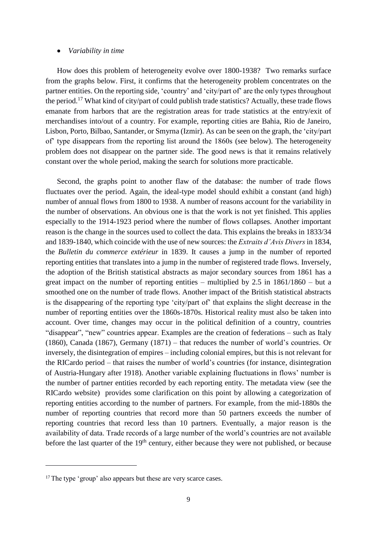#### *Variability in time*

How does this problem of heterogeneity evolve over 1800-1938? Two remarks surface from the graphs below. First, it confirms that the heterogeneity problem concentrates on the partner entities. On the reporting side, 'country' and 'city/part of' are the only types throughout the period.<sup>17</sup> What kind of city/part of could publish trade statistics? Actually, these trade flows emanate from harbors that are the registration areas for trade statistics at the entry/exit of merchandises into/out of a country. For example, reporting cities are Bahia, Rio de Janeiro, Lisbon, Porto, Bilbao, Santander, or Smyrna (Izmir). As can be seen on the graph, the 'city/part of' type disappears from the reporting list around the 1860s (see below). The heterogeneity problem does not disappear on the partner side. The good news is that it remains relatively constant over the whole period, making the search for solutions more practicable.

Second, the graphs point to another flaw of the database: the number of trade flows fluctuates over the period. Again, the ideal-type model should exhibit a constant (and high) number of annual flows from 1800 to 1938. A number of reasons account for the variability in the number of observations. An obvious one is that the work is not yet finished. This applies especially to the 1914-1923 period where the number of flows collapses. Another important reason is the change in the sources used to collect the data. This explains the breaks in 1833/34 and 1839-1840, which coincide with the use of new sources: the *Extraits d'Avis Divers* in 1834, the *Bulletin du commerce extérieur* in 1839. It causes a jump in the number of reported reporting entities that translates into a jump in the number of registered trade flows. Inversely, the adoption of the British statistical abstracts as major secondary sources from 1861 has a great impact on the number of reporting entities – multiplied by 2.5 in 1861/1860 – but a smoothed one on the number of trade flows. Another impact of the British statistical abstracts is the disappearing of the reporting type 'city/part of' that explains the slight decrease in the number of reporting entities over the 1860s-1870s. Historical reality must also be taken into account. Over time, changes may occur in the political definition of a country, countries "disappear", "new" countries appear. Examples are the creation of federations – such as Italy (1860), Canada (1867), Germany (1871) – that reduces the number of world's countries. Or inversely, the disintegration of empires – including colonial empires, but this is not relevant for the RICardo period – that raises the number of world's countries (for instance, disintegration of Austria-Hungary after 1918). Another variable explaining fluctuations in flows' number is the number of partner entities recorded by each reporting entity. The metadata view (see the RICardo website) provides some clarification on this point by allowing a categorization of reporting entities according to the number of partners. For example, from the mid-1880s the number of reporting countries that record more than 50 partners exceeds the number of reporting countries that record less than 10 partners. Eventually, a major reason is the availability of data. Trade records of a large number of the world's countries are not available before the last quarter of the 19<sup>th</sup> century, either because they were not published, or because

1

<sup>&</sup>lt;sup>17</sup> The type 'group' also appears but these are very scarce cases.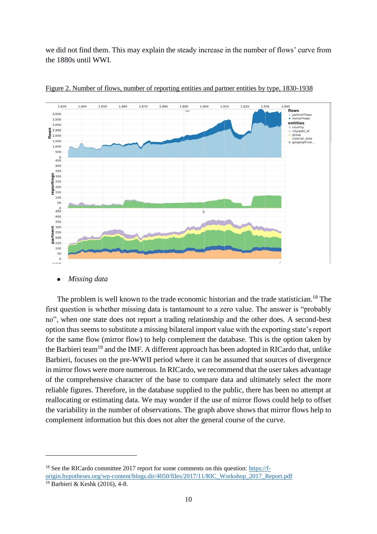we did not find them. This may explain the steady increase in the number of flows' curve from the 1880s until WWI.



Figure 2. Number of flows, number of reporting entities and partner entities by type, 1830-1938

*Missing data*

The problem is well known to the trade economic historian and the trade statistician.<sup>18</sup> The first question is whether missing data is tantamount to a zero value. The answer is "probably no", when one state does not report a trading relationship and the other does. A second-best option thus seems to substitute a missing bilateral import value with the exporting state's report for the same flow (mirror flow) to help complement the database. This is the option taken by the Barbieri team<sup>19</sup> and the IMF. A different approach has been adopted in RICardo that, unlike Barbieri, focuses on the pre-WWII period where it can be assumed that sources of divergence in mirror flows were more numerous. In RICardo, we recommend that the user takes advantage of the comprehensive character of the base to compare data and ultimately select the more reliable figures. Therefore, in the database supplied to the public, there has been no attempt at reallocating or estimating data. We may wonder if the use of mirror flows could help to offset the variability in the number of observations. The graph above shows that mirror flows help to complement information but this does not alter the general course of the curve.

-

<sup>&</sup>lt;sup>18</sup> See the RICardo committee 2017 report for some comments on this question: [https://f](https://f-origin.hypotheses.org/wp-content/blogs.dir/4050/files/2017/11/RIC_Workshop_2017_Report.pdf)[origin.hypotheses.org/wp-content/blogs.dir/4050/files/2017/11/RIC\\_Workshop\\_2017\\_Report.pdf](https://f-origin.hypotheses.org/wp-content/blogs.dir/4050/files/2017/11/RIC_Workshop_2017_Report.pdf)

<sup>19</sup> Barbieri & Keshk (2016), 4-8.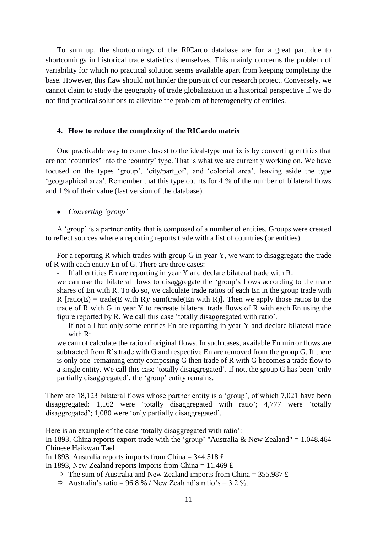To sum up, the shortcomings of the RICardo database are for a great part due to shortcomings in historical trade statistics themselves. This mainly concerns the problem of variability for which no practical solution seems available apart from keeping completing the base. However, this flaw should not hinder the pursuit of our research project. Conversely, we cannot claim to study the geography of trade globalization in a historical perspective if we do not find practical solutions to alleviate the problem of heterogeneity of entities.

#### **4. How to reduce the complexity of the RICardo matrix**

One practicable way to come closest to the ideal-type matrix is by converting entities that are not 'countries' into the 'country' type. That is what we are currently working on. We have focused on the types 'group', 'city/part\_of', and 'colonial area', leaving aside the type 'geographical area'. Remember that this type counts for 4 % of the number of bilateral flows and 1 % of their value (last version of the database).

#### *Converting 'group'*

A 'group' is a partner entity that is composed of a number of entities. Groups were created to reflect sources where a reporting reports trade with a list of countries (or entities).

For a reporting R which trades with group G in year Y, we want to disaggregate the trade of R with each entity En of G. There are three cases:

If all entities En are reporting in year Y and declare bilateral trade with  $R$ :

we can use the bilateral flows to disaggregate the 'group's flows according to the trade shares of En with R. To do so, we calculate trade ratios of each En in the group trade with R  $[ratio(E) = trade(E with R) / sum(trainde(En with R)].$  Then we apply those ratios to the trade of R with G in year Y to recreate bilateral trade flows of R with each En using the figure reported by R. We call this case 'totally disaggregated with ratio'.

- If not all but only some entities En are reporting in year Y and declare bilateral trade with R:

we cannot calculate the ratio of original flows. In such cases, available En mirror flows are subtracted from R's trade with G and respective En are removed from the group G. If there is only one remaining entity composing G then trade of R with G becomes a trade flow to a single entity. We call this case 'totally disaggregated'. If not, the group G has been 'only partially disaggregated', the 'group' entity remains.

There are 18,123 bilateral flows whose partner entity is a 'group', of which 7,021 have been disaggregated: 1,162 were 'totally disaggregated with ratio'; 4,777 were 'totally disaggregated'; 1,080 were 'only partially disaggregated'.

Here is an example of the case 'totally disaggregated with ratio':

In 1893, China reports export trade with the 'group' "Australia & New Zealand" =  $1.048.464$ Chinese Haikwan Tael

In 1893, Australia reports imports from China =  $344.518 \text{ } \text{£}$ 

In 1893, New Zealand reports imports from China =  $11.469 \text{ } \text{£}$ 

- $\Rightarrow$  The sum of Australia and New Zealand imports from China = 355.987 £
- $\Rightarrow$  Australia's ratio = 96.8 % / New Zealand's ratio's = 3.2 %.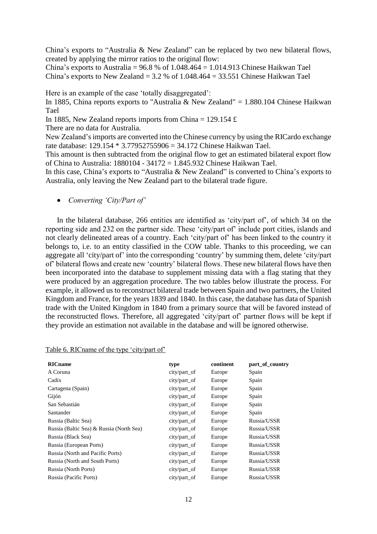China's exports to "Australia & New Zealand" can be replaced by two new bilateral flows, created by applying the mirror ratios to the original flow:

China's exports to Australia =  $96.8$  % of  $1.048.464 = 1.014.913$  Chinese Haikwan Tael China's exports to New Zealand =  $3.2$  % of  $1.048.464 = 33.551$  Chinese Haikwan Tael

Here is an example of the case 'totally disaggregated':

In 1885, China reports exports to "Australia & New Zealand" = 1.880.104 Chinese Haikwan Tael

In 1885, New Zealand reports imports from China = 129.154  $\pounds$ 

There are no data for Australia.

New Zealand's imports are converted into the Chinese currency by using the RICardo exchange rate database: 129.154 \* 3.77952755906 = 34.172 Chinese Haikwan Tael.

This amount is then subtracted from the original flow to get an estimated bilateral export flow of China to Australia: 1880104 - 34172 = 1.845.932 Chinese Haikwan Tael.

In this case, China's exports to "Australia & New Zealand" is converted to China's exports to Australia, only leaving the New Zealand part to the bilateral trade figure.

*Converting 'City/Part of'*

In the bilateral database, 266 entities are identified as 'city/part of', of which 34 on the reporting side and 232 on the partner side. These 'city/part of' include port cities, islands and not clearly delineated areas of a country. Each 'city/part of' has been linked to the country it belongs to, i.e. to an entity classified in the COW table. Thanks to this proceeding, we can aggregate all 'city/part of' into the corresponding 'country' by summing them, delete 'city/part of' bilateral flows and create new 'country' bilateral flows. These new bilateral flows have then been incorporated into the database to supplement missing data with a flag stating that they were produced by an aggregation procedure. The two tables below illustrate the process. For example, it allowed us to reconstruct bilateral trade between Spain and two partners, the United Kingdom and France, for the years 1839 and 1840. In this case, the database has data of Spanish trade with the United Kingdom in 1840 from a primary source that will be favored instead of the reconstructed flows. Therefore, all aggregated 'city/part of' partner flows will be kept if they provide an estimation not available in the database and will be ignored otherwise.

| <b>RICname</b>                           | type         | continent | part of country |
|------------------------------------------|--------------|-----------|-----------------|
| A Coruna                                 | city/part_of | Europe    | Spain           |
| Cadix                                    | city/part_of | Europe    | Spain           |
| Cartagena (Spain)                        | city/part_of | Europe    | Spain           |
| Gijón                                    | city/part_of | Europe    | Spain           |
| San Sebastián                            | city/part_of | Europe    | Spain           |
| Santander                                | city/part_of | Europe    | Spain           |
| Russia (Baltic Sea)                      | city/part_of | Europe    | Russia/USSR     |
| Russia (Baltic Sea) & Russia (North Sea) | city/part_of | Europe    | Russia/USSR     |
| Russia (Black Sea)                       | city/part_of | Europe    | Russia/USSR     |
| Russia (European Ports)                  | city/part_of | Europe    | Russia/USSR     |
| Russia (North and Pacific Ports)         | city/part_of | Europe    | Russia/USSR     |
| Russia (North and South Ports)           | city/part_of | Europe    | Russia/USSR     |
| Russia (North Ports)                     | city/part_of | Europe    | Russia/USSR     |
| Russia (Pacific Ports)                   | city/part_of | Europe    | Russia/USSR     |

|  |  |  | Table 6. RICname of the type 'city/part of' |  |
|--|--|--|---------------------------------------------|--|
|  |  |  |                                             |  |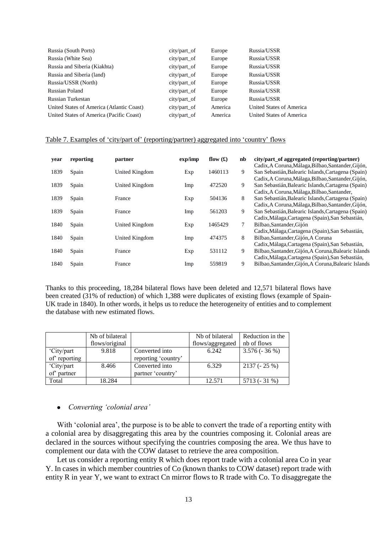| Russia (South Ports)                      | city/part_of    | Europe  | Russia/USSR              |
|-------------------------------------------|-----------------|---------|--------------------------|
| Russia (White Sea)                        | $city/part_$ of | Europe  | Russia/USSR              |
| Russia and Siberia (Kiakhta)              | $city/part_$ of | Europe  | Russia/USSR              |
| Russia and Siberia (land)                 | $city/part_$ of | Europe  | Russia/USSR              |
| Russia/USSR (North)                       | city/part_of    | Europe  | Russia/USSR              |
| Russian Poland                            | $city/part_$ of | Europe  | Russia/USSR              |
| Russian Turkestan                         | city/part_of    | Europe  | Russia/USSR              |
| United States of America (Atlantic Coast) | city/part_of    | America | United States of America |
| United States of America (Pacific Coast)  | city/part_of    | America | United States of America |

#### Table 7. Examples of 'city/part of' (reporting/partner) aggregated into 'country' flows

| vear | reporting | partner        | exp/imp | flow $(f)$ | nb | city/part_of aggregated (reporting/partner)<br>Cadix, A Coruna, Málaga, Bilbao, Santander, Gijón,        |
|------|-----------|----------------|---------|------------|----|----------------------------------------------------------------------------------------------------------|
| 1839 | Spain     | United Kingdom | Exp     | 1460113    | 9  | San Sebastián, Balearic Islands, Cartagena (Spain)<br>Cadix, A Coruna, Málaga, Bilbao, Santander, Gijón, |
| 1839 | Spain     | United Kingdom | Imp     | 472520     | 9  | San Sebastián, Balearic Islands, Cartagena (Spain)<br>Cadix, A Coruna, Málaga, Bilbao, Santander,        |
| 1839 | Spain     | France         | Exp     | 504136     | 8  | San Sebastián, Balearic Islands, Cartagena (Spain)<br>Cadix, A Coruna, Málaga, Bilbao, Santander, Gijón, |
| 1839 | Spain     | France         | Imp     | 561203     | 9  | San Sebastián, Balearic Islands, Cartagena (Spain)<br>Cadix, Málaga, Cartagena (Spain), San Sebastián,   |
| 1840 | Spain     | United Kingdom | Exp     | 1465429    | 7  | Bilbao, Santander, Gijón<br>Cadix, Málaga, Cartagena (Spain), San Sebastián,                             |
| 1840 | Spain     | United Kingdom | Imp     | 474375     | 8  | Bilbao, Santander, Gijón, A Coruna<br>Cadix, Málaga, Cartagena (Spain), San Sebastián,                   |
| 1840 | Spain     | France         | Exp     | 531112     | 9  | Bilbao, Santander, Gijón, A Coruna, Balearic Islands<br>Cadix, Málaga, Cartagena (Spain), San Sebastián, |
| 1840 | Spain     | France         | Imp     | 559819     | 9  | Bilbao, Santander, Gijón, A Coruna, Balearic Islands                                                     |

Thanks to this proceeding, 18,284 bilateral flows have been deleted and 12,571 bilateral flows have been created (31% of reduction) of which 1,388 were duplicates of existing flows (example of Spain-UK trade in 1840). In other words, it helps us to reduce the heterogeneity of entities and to complement the database with new estimated flows.

|              | Nb of bilateral |                     | Nb of bilateral  | Reduction in the |
|--------------|-----------------|---------------------|------------------|------------------|
|              | flows/original  |                     | flows/aggregated | nb of flows      |
| 'City/part   | 9.818           | Converted into      | 6.242            | $3.576(-36%)$    |
| of reporting |                 | reporting 'country' |                  |                  |
| 'City/part   | 8.466           | Converted into      | 6.329            | $2137(-25%)$     |
| of partner   |                 | partner 'country'   |                  |                  |
| Total        | 18.284          |                     | 12.571           | 5713 (- 31 %)    |

#### *Converting 'colonial area'*

With 'colonial area', the purpose is to be able to convert the trade of a reporting entity with a colonial area by disaggregating this area by the countries composing it. Colonial areas are declared in the sources without specifying the countries composing the area. We thus have to complement our data with the COW dataset to retrieve the area composition.

Let us consider a reporting entity R which does report trade with a colonial area Co in year Y. In cases in which member countries of Co (known thanks to COW dataset) report trade with entity R in year Y, we want to extract Cn mirror flows to R trade with Co. To disaggregate the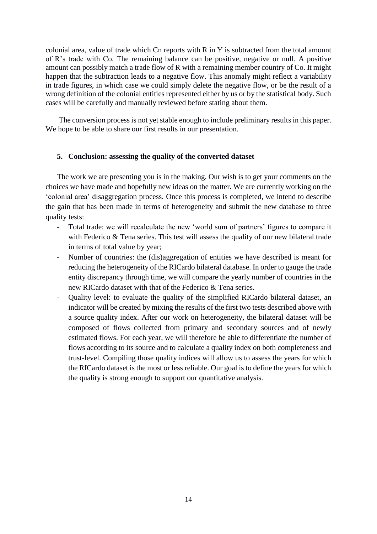colonial area, value of trade which Cn reports with R in Y is subtracted from the total amount of R's trade with Co. The remaining balance can be positive, negative or null. A positive amount can possibly match a trade flow of R with a remaining member country of Co. It might happen that the subtraction leads to a negative flow. This anomaly might reflect a variability in trade figures, in which case we could simply delete the negative flow, or be the result of a wrong definition of the colonial entities represented either by us or by the statistical body. Such cases will be carefully and manually reviewed before stating about them.

The conversion process is not yet stable enough to include preliminary results in this paper. We hope to be able to share our first results in our presentation.

#### **5. Conclusion: assessing the quality of the converted dataset**

The work we are presenting you is in the making. Our wish is to get your comments on the choices we have made and hopefully new ideas on the matter. We are currently working on the 'colonial area' disaggregation process. Once this process is completed, we intend to describe the gain that has been made in terms of heterogeneity and submit the new database to three quality tests:

- Total trade: we will recalculate the new 'world sum of partners' figures to compare it with Federico & Tena series. This test will assess the quality of our new bilateral trade in terms of total value by year;
- Number of countries: the (dis)aggregation of entities we have described is meant for reducing the heterogeneity of the RICardo bilateral database. In order to gauge the trade entity discrepancy through time, we will compare the yearly number of countries in the new RICardo dataset with that of the Federico & Tena series.
- Quality level: to evaluate the quality of the simplified RICardo bilateral dataset, an indicator will be created by mixing the results of the first two tests described above with a source quality index. After our work on heterogeneity, the bilateral dataset will be composed of flows collected from primary and secondary sources and of newly estimated flows. For each year, we will therefore be able to differentiate the number of flows according to its source and to calculate a quality index on both completeness and trust-level. Compiling those quality indices will allow us to assess the years for which the RICardo dataset is the most or less reliable. Our goal is to define the years for which the quality is strong enough to support our quantitative analysis.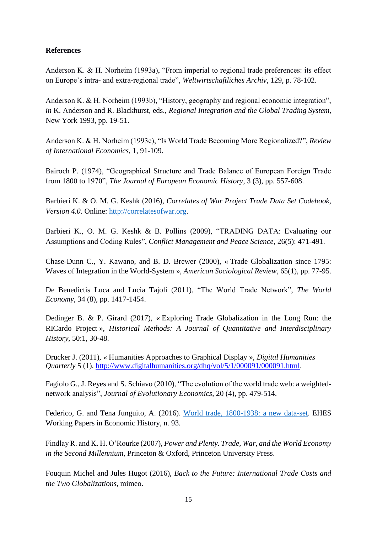### **References**

Anderson K. & H. Norheim (1993a), "From imperial to regional trade preferences: its effect on Europe's intra- and extra-regional trade", *Weltwirtschaftliches Archiv*, 129, p. 78-102.

Anderson K. & H. Norheim (1993b), "History, geography and regional economic integration", *in* K. Anderson and R. Blackhurst, eds., *Regional Integration and the Global Trading System*, New York 1993, pp. 19-51.

Anderson K. & H. Norheim (1993c), "Is World Trade Becoming More Regionalized?", *Review of International Economics*, 1, 91-109.

Bairoch P. (1974), "Geographical Structure and Trade Balance of European Foreign Trade from 1800 to 1970", *The Journal of European Economic History*, 3 (3), pp. 557-608.

Barbieri K. & O. M. G. Keshk (2016), *Correlates of War Project Trade Data Set Codebook, Version 4.0*. Online: [http://correlatesofwar.org.](http://correlatesofwar.org/)

Barbieri K., O. M. G. Keshk & B. Pollins (2009), "TRADING DATA: Evaluating our Assumptions and Coding Rules", *Conflict Management and Peace Science*, 26(5): 471-491.

Chase-Dunn C., Y. Kawano, and B. D. Brewer (2000), « Trade Globalization since 1795: Waves of Integration in the World-System », *American Sociological Review*, 65(1), pp. 77-95.

De Benedictis Luca and Lucia Tajoli (2011), "The World Trade Network", *The World Economy*, 34 (8), pp. 1417-1454.

Dedinger B. & P. Girard (2017), « Exploring Trade Globalization in the Long Run: the RICardo Project », *Historical Methods: A Journal of Quantitative and Interdisciplinary History*, 50:1, 30-48.

Drucker J. (2011), « Humanities Approaches to Graphical Display », *Digital Humanities Quarterly* 5 (1). [http://www.digitalhumanities.org/dhq/vol/5/1/000091/000091.html.](http://www.digitalhumanities.org/dhq/vol/5/1/000091/000091.html)

Fagiolo G., J. Reyes and S. Schiavo (2010), "The evolution of the world trade web: a weightednetwork analysis", *Journal of Evolutionary Economics*, 20 (4), pp. 479-514.

Federico, G. and Tena Junguito, A. (2016). World trade, [1800-1938: a new data-set.](https://e-archivo.uc3m.es/bitstream/handle/10016/26605/world_EHES_93_2016.pdf) EHES Working Papers in Economic History, n. 93.

Findlay R. and K. H. O'Rourke (2007), *Power and Plenty. Trade, War, and the World Economy in the Second Millennium*, Princeton & Oxford, Princeton University Press.

Fouquin Michel and Jules Hugot (2016), *Back to the Future: International Trade Costs and the Two Globalizations*, mimeo.